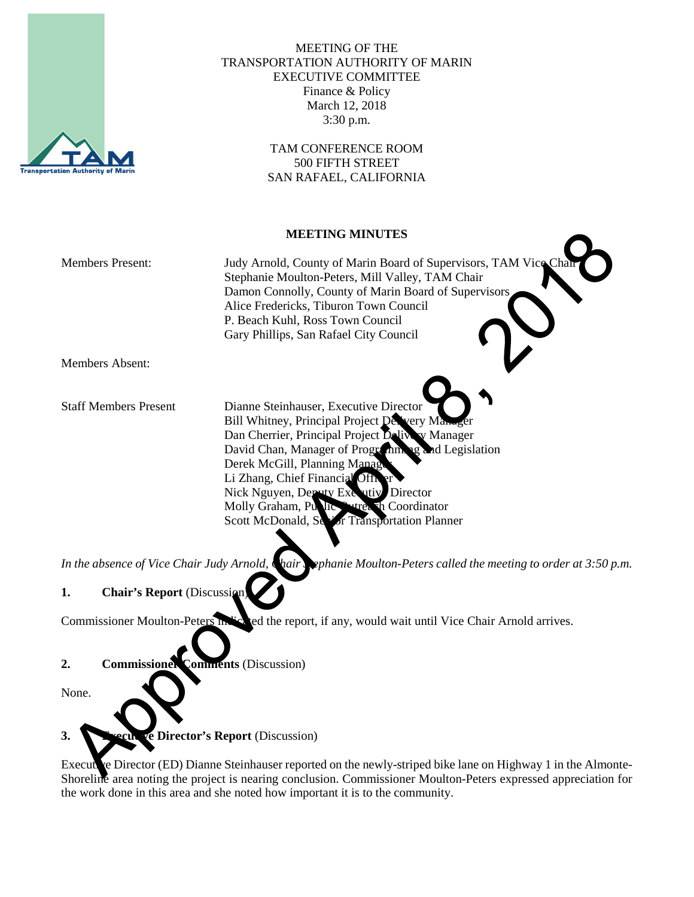

## MEETING OF THE TRANSPORTATION AUTHORITY OF MARIN EXECUTIVE COMMITTEE Finance & Policy March 12, 2018 3:30 p.m.

TAM CONFERENCE ROOM 500 FIFTH STREET SAN RAFAEL, CALIFORNIA

#### **MEETING MINUTES**

| <b>Members Present:</b>      | Judy Arnold, County of Marin Board of Supervisors, TAM Vice Chair<br>Stephanie Moulton-Peters, Mill Valley, TAM Chair<br>Damon Connolly, County of Marin Board of Supervisors<br>Alice Fredericks, Tiburon Town Council<br>P. Beach Kuhl, Ross Town Council<br>Gary Phillips, San Rafael City Council |
|------------------------------|-------------------------------------------------------------------------------------------------------------------------------------------------------------------------------------------------------------------------------------------------------------------------------------------------------|
| Members Absent:              |                                                                                                                                                                                                                                                                                                       |
|                              |                                                                                                                                                                                                                                                                                                       |
| <b>Staff Members Present</b> | Dianne Steinhauser, Executive Director                                                                                                                                                                                                                                                                |
|                              | Bill Whitney, Principal Project Devery Manager                                                                                                                                                                                                                                                        |
|                              | Dan Cherrier, Principal Project Delivery Manager                                                                                                                                                                                                                                                      |
|                              | David Chan, Manager of Programming and Legislation                                                                                                                                                                                                                                                    |
|                              | Derek McGill, Planning Manage                                                                                                                                                                                                                                                                         |

Li Zhang, Chief Financial Nick Nguyen, Deputy Executiv Director Molly Graham, Public Outreach Coordinator Scott McDonald, Senior Transportation Planner

In the absence of Vice Chair Judy Arnold, Chair Sephanie Moulton-Peters called the meeting to order at 3:50 p.m.

# **1. Chair's Report** (Discussion

Commissioner Moulton-Peters indicated the report, if any, would wait until Vice Chair Arnold arrives.

## **2. Commissioner Comments** (Discussion)

None.

**3. Executive Director's Report** (Discussion)

Executive Director (ED) Dianne Steinhauser reported on the newly-striped bike lane on Highway 1 in the Almonte-Shoreline area noting the project is nearing conclusion. Commissioner Moulton-Peters expressed appreciation for the work done in this area and she noted how important it is to the community.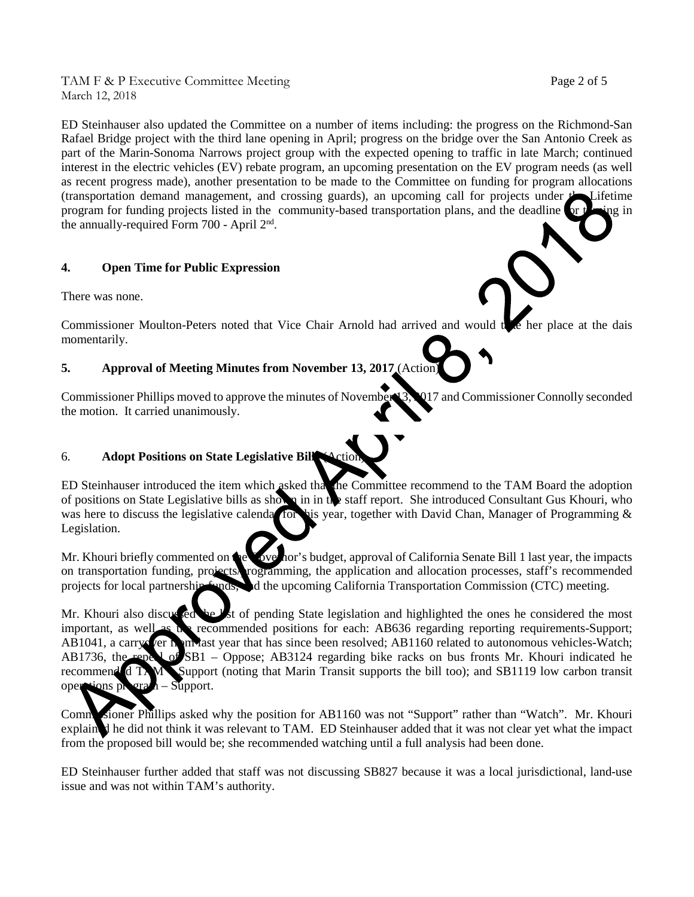TAM F & P Executive Committee Meeting Page 2 of 5 March 12, 2018

ED Steinhauser also updated the Committee on a number of items including: the progress on the Richmond-San Rafael Bridge project with the third lane opening in April; progress on the bridge over the San Antonio Creek as part of the Marin-Sonoma Narrows project group with the expected opening to traffic in late March; continued interest in the electric vehicles (EV) rebate program, an upcoming presentation on the EV program needs (as well as recent progress made), another presentation to be made to the Committee on funding for program allocations (transportation demand management, and crossing guards), an upcoming call for projects under the Lifetime program for funding projects listed in the community-based transportation plans, and the deadline for the ing in the annually-required Form 700 - April 2nd.

## **4. Open Time for Public Expression**

There was none.

Commissioner Moulton-Peters noted that Vice Chair Arnold had arrived and would the her place at the dais momentarily.

## **5. Approval of Meeting Minutes from November 13, 2017** (Action)

Commissioner Phillips moved to approve the minutes of November 13, 2017 and Commissioner Connolly seconded the motion. It carried unanimously.

#### 6. **Adopt Positions on State Legislative Bills** (Action)

ED Steinhauser introduced the item which asked that the Committee recommend to the TAM Board the adoption of positions on State Legislative bills as shown in in the staff report. She introduced Consultant Gus Khouri, who was here to discuss the legislative calendar for his year, together with David Chan, Manager of Programming his year, together with David Chan, Manager of Programming  $\&$ Legislation.

Mr. Khouri briefly commented on the Governor's budget, approval of California Senate Bill 1 last year, the impacts on transportation funding, projects, rogramming, the application and allocation processes, staff's recommen programming, the application and allocation processes, staff's recommended projects for local partnership funds, and the upcoming California Transportation Commission (CTC) meeting.

Mr. Khouri also discussed the list of pending State legislation and highlighted the ones he considered the most important, as well as the recommended positions for each: AB636 regarding reporting requirements-Support; AB1041, a carry fer monast year that has since been resolved; AB1160 related to autonomous vehicles-Watch; AB1736, the repeal of SB1 – Oppose; AB3124 regarding bike racks on bus fronts Mr. Khouri indicated he recommended TAM – Support (noting that Marin Transit supports the bill too); and SB1119 low carbon transit operations program – Support.

Commissioner Phillips asked why the position for AB1160 was not "Support" rather than "Watch". Mr. Khouri explained he did not think it was relevant to TAM. ED Steinhauser added that it was not clear yet what the impact from the proposed bill would be; she recommended watching until a full analysis had been done.

ED Steinhauser further added that staff was not discussing SB827 because it was a local jurisdictional, land-use issue and was not within TAM's authority.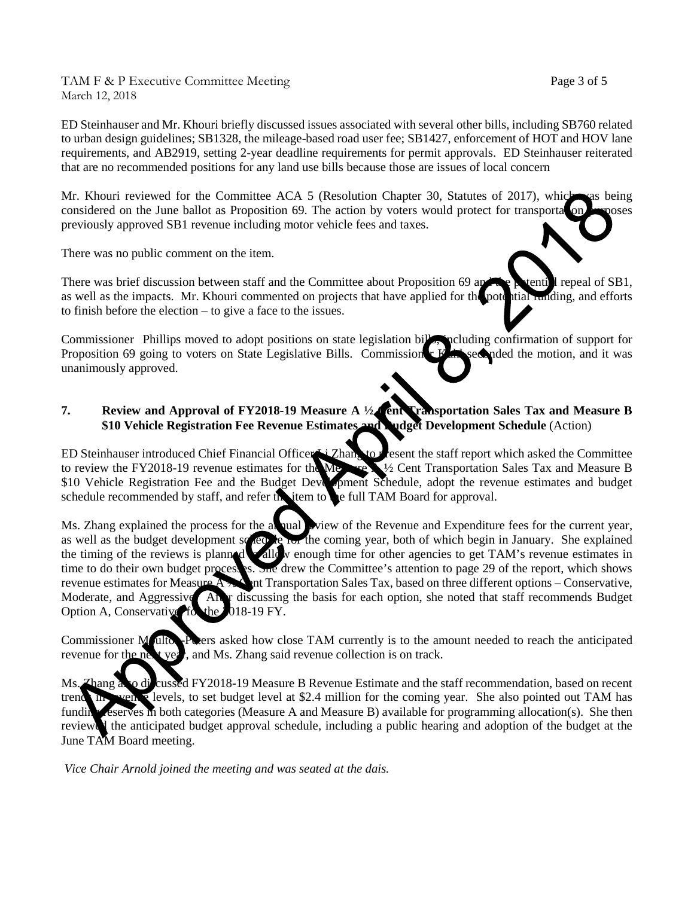TAM F & P Executive Committee Meeting Page 3 of 5 March 12, 2018

ED Steinhauser and Mr. Khouri briefly discussed issues associated with several other bills, including SB760 related to urban design guidelines; SB1328, the mileage-based road user fee; SB1427, enforcement of HOT and HOV lane requirements, and AB2919, setting 2-year deadline requirements for permit approvals. ED Steinhauser reiterated that are no recommended positions for any land use bills because those are issues of local concern

Mr. Khouri reviewed for the Committee ACA 5 (Resolution Chapter 30, Statutes of 2017), which was being considered on the June ballot as Proposition 69. The action by voters would protect for transportation purposes previously approved SB1 revenue including motor vehicle fees and taxes.

There was no public comment on the item.

There was brief discussion between staff and the Committee about Proposition 69 and the potential repeal of SB1, as well as the impacts. Mr. Khouri commented on projects that have applied for the potential runding, and efforts to finish before the election – to give a face to the issues.

Commissioner Phillips moved to adopt positions on state legislation bills, peluding confirmation of support for Proposition 69 going to voters on State Legislative Bills. Commissioner Kuhl seconded the motion, and it was unanimously approved.

#### **7. Review and Approval of FY2018-19 Measure A ½ Cent Transportation Sales Tax and Measure B \$10 Vehicle Registration Fee Revenue Estimates and Budget Development Schedule** (Action)

ED Steinhauser introduced Chief Financial Officer Li Zhang to present the staff report which asked the Committee to review the FY2018-19 revenue estimates for the Measure A ½ Cent Transportation Sales Tax and Measure B \$10 Vehicle Registration Fee and the Budget Development Schedule, adopt the revenue estimates and budget schedule recommended by staff, and refer the item to the full TAM Board for approval.

Ms. Zhang explained the process for the annual view of the Revenue and Expenditure fees for the current year, as well as the budget development squee for the coming year, both of which begin in January. She explained the timing of the reviews is planned to allow enough time for other agencies to get TAM's revenue estimates in time to do their own budget process is. She drew the Committee's attention to page 29 of the report, which show the drew the Committee's attention to page 29 of the report, which shows revenue estimates for Measure A <sup>1</sup> A Cent Transportation Sales Tax, based on three different options – Conservative, Moderate, and Aggressive. At r discussing the basis for each option, she noted that staff recommends Budget Option A, Conservative for the 018-19 FY. Option A, Conservative, for the 2

Commissioner Moulton-Peters asked how close TAM currently is to the amount needed to reach the anticipated revenue for the next year, and Ms. Zhang said revenue collection is on track.

Ms. Zhang also diveussed FY2018-19 Measure B Revenue Estimate and the staff recommendation, based on recent trend in venue levels, to set budget level at \$2.4 million for the coming year. She also pointed out TAM has funding reserves in both categories (Measure A and Measure B) available for programming allocation(s). She then reviewed the anticipated budget approval schedule, including a public hearing and adoption of the budget at the June TAM Board meeting.

*Vice Chair Arnold joined the meeting and was seated at the dais.*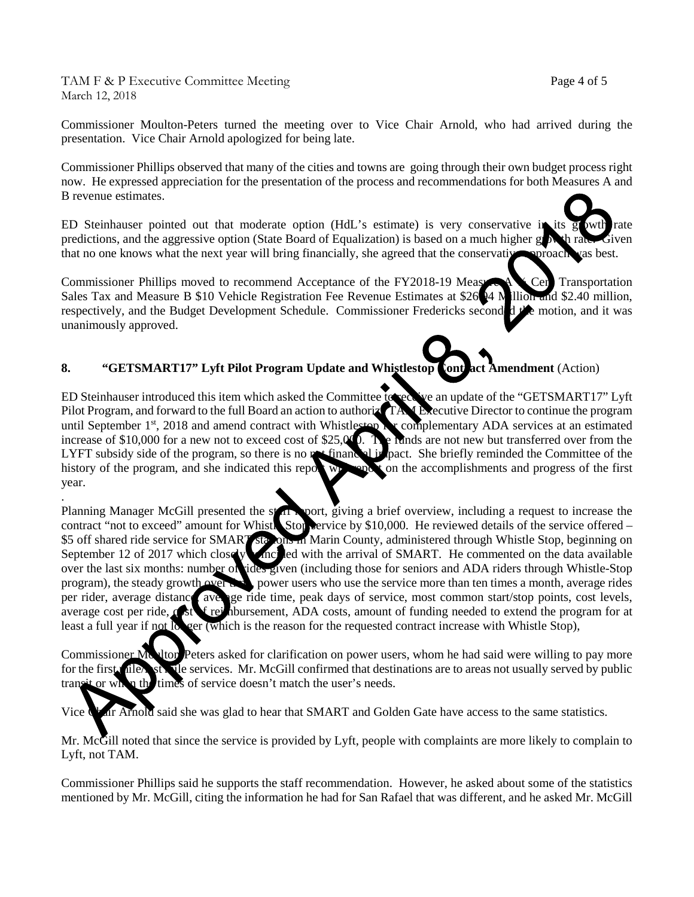TAM F & P Executive Committee Meeting Page 4 of 5 March 12, 2018

.

Commissioner Moulton-Peters turned the meeting over to Vice Chair Arnold, who had arrived during the presentation. Vice Chair Arnold apologized for being late.

Commissioner Phillips observed that many of the cities and towns are going through their own budget process right now. He expressed appreciation for the presentation of the process and recommendations for both Measures A and B revenue estimates.

ED Steinhauser pointed out that moderate option (HdL's estimate) is very conservative in its growth rate predictions, and the aggressive option (State Board of Equalization) is based on a much higher growth rate. Given that no one knows what the next year will bring financially, she agreed that the conservative approach was best.

Commissioner Phillips moved to recommend Acceptance of the FY2018-19 Measure A X Cent Transportation Sales Tax and Measure B \$10 Vehicle Registration Fee Revenue Estimates at \$26.94 M illion and \$2.40 million, respectively, and the Budget Development Schedule. Commissioner Fredericks second d  $\mathcal{P}$  motion, and it was unanimously approved.

## 8. **"GETSMART17"** Lyft Pilot Program Update and Whistlestop Contract Amendment (Action)

ED Steinhauser introduced this item which asked the Committee to receive an update of the "GETSMART17" Lyft Pilot Program, and forward to the full Board an action to authorize TAM Executive Director to continue the program until September 1<sup>st</sup>, 2018 and amend contract with Whistlestop **for complementary ADA** services at an estimated increase of \$10,000 for a new not to exceed cost of \$25,000. The funds are not new but transferred over from the LYFT subsidy side of the program, so there is no net finance of the pact. She briefly reminded the Committee of the history of the program, and she indicated this report will report on the accomplishments and progress of the first year.

Planning Manager McGill presented the staff report, giving a brief overview, including a request to increase the contract "not to exceed" amount for Whistle Stop service by \$10,000. He reviewed details of the service offered – \$5 off shared ride service for SMART stations in Marin County, administered through Whistle Stop, beginning on September 12 of 2017 which closely and led with the arrival of SMART. He commented on the data available over the last six months: number of ides given (including those for seniors and ADA riders through Whistle-Stop rides given (including those for seniors and ADA riders through Whistle-Stop program), the steady growth over the power users who use the service more than ten times a month, average rides per rider, average distance, average ride time, peak days of service, most common start/stop points, cost levels, average cost per ride,  $\alpha$  ist  $\epsilon$  reimbursement, ADA costs, amount of funding needed to extend the program for at least a full year if not longer (which is the reason for the requested contract increase with Whistle Stop),

Commissioner Moulton-Peters asked for clarification on power users, whom he had said were willing to pay more for the first mile, st. The services. Mr. McGill confirmed that destinations are to areas not usually served by public transit or when the times of service doesn't match the user's needs.

Vice Chair Arnold said she was glad to hear that SMART and Golden Gate have access to the same statistics.

Mr. McGill noted that since the service is provided by Lyft, people with complaints are more likely to complain to Lyft, not TAM.

Commissioner Phillips said he supports the staff recommendation. However, he asked about some of the statistics mentioned by Mr. McGill, citing the information he had for San Rafael that was different, and he asked Mr. McGill